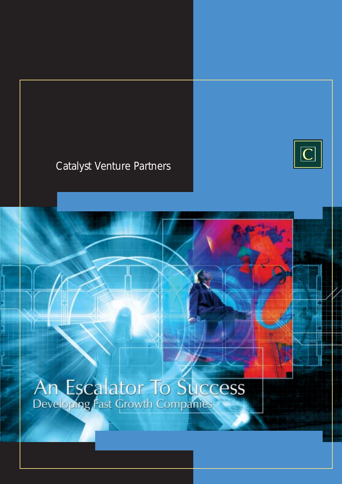## Catalyst Venture Partners



An Escalator To Success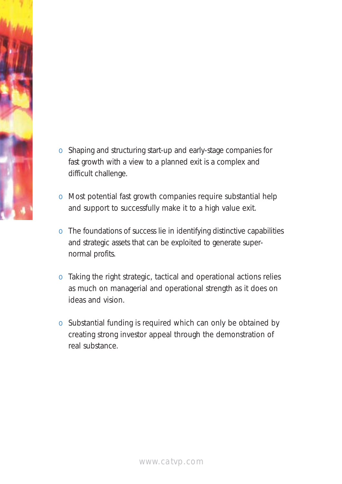

- o Shaping and structuring start-up and early-stage companies for fast growth with a view to a planned exit is a complex and difficult challenge.
- o Most potential fast growth companies require substantial help and support to successfully make it to a high value exit.
- o The foundations of success lie in identifying distinctive capabilities and strategic assets that can be exploited to generate supernormal profits.
- o Taking the right strategic, tactical and operational actions relies as much on managerial and operational strength as it does on ideas and vision.
- o Substantial funding is required which can only be obtained by creating strong investor appeal through the demonstration of real substance.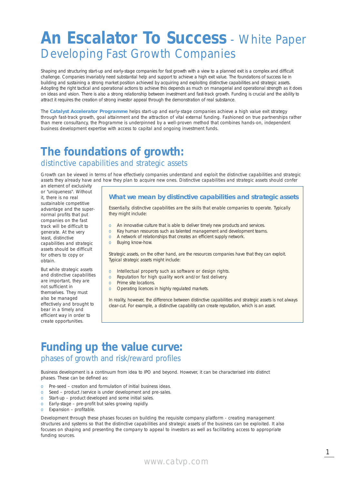# **An Escalator To Success** - White Paper Developing Fast Growth Companies

Shaping and structuring start-up and early-stage companies for fast growth with a view to a planned exit is a complex and difficult challenge. Companies invariably need substantial help and support to achieve a high exit value. The foundations of success lie in building and sustaining a strong market position achieved by acquiring and exploiting distinctive capabilities and strategic assets. Adopting the right tactical and operational actions to achieve this depends as much on managerial and operational strength as it does on ideas and vision. There is also a strong relationship between investment and fast-track growth. Funding is crucial and the ability to attract it requires the creation of strong investor appeal through the demonstration of real substance.

The **Catalyst Accelerator Programme** helps start-up and early-stage companies achieve a high value exit strategy through fast-track growth, goal attainment and the attraction of vital external funding. Fashioned on true partnerships rather than mere consultancy, the Programme is underpinned by a well-proven method that combines hands-on, independent business development expertise with access to capital and ongoing investment funds.

### **The foundations of growth:** distinctive capabilities and strategic assets

Growth can be viewed in terms of how effectively companies understand and exploit the distinctive capabilities and strategic assets they already have and how they plan to acquire new ones. Distinctive capabilities and strategic assets should confer

an element of exclusivity or "uniqueness". Without it, there is no real sustainable competitive advantage and the supernormal profits that put companies on the fast track will be difficult to generate. At the very least, distinctive capabilities and strategic assets should be difficult for others to copy or obtain.

But while strategic assets and distinctive capabilities are important, they are not sufficient in themselves. They must also be managed effectively and brought to bear in a timely and efficient way in order to create opportunities.

#### **What we mean by distinctive capabilities and strategic assets**

Essentially, distinctive capabilities are the skills that enable companies to operate. Typically they might include:

- An innovative culture that is able to deliver timely new products and services.
- o Key human resources such as talented management and development teams.
- o A network of relationships that creates an efficient supply network.
- o Buying know-how.

Strategic assets, on the other hand, are the resources companies have that they can exploit. Typical strategic assets might include:

- o Intellectual property such as software or design rights.
- o Reputation for high quality work and/or fast delivery.
- o Prime site locations.
- o Operating licences in highly regulated markets.

In reality, however, the difference between distinctive capabilities and strategic assets is not always clear-cut. For example, a distinctive capability can create reputation, which is an asset.

### **Funding up the value curve:** phases of growth and risk/reward profiles

Business development is a continuum from idea to IPO and beyond. However, it can be characterised into distinct phases. These can be defined as:

- o Pre-seed creation and formulation of initial business ideas.
- o Seed product /service is under development and pre-sales.
- o Start-up product developed and some initial sales.
- o Early-stage pre-profit but sales growing rapidly.
- o Expansion profitable.

Development through these phases focuses on building the requisite company platform - creating management structures and systems so that the distinctive capabilities and strategic assets of the business can be exploited. It also focuses on shaping and presenting the company to appeal to investors as well as facilitating access to appropriate funding sources.

1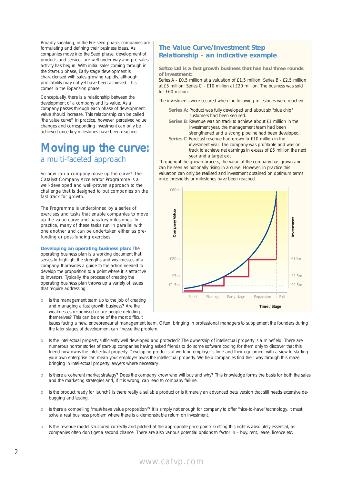Broadly speaking, in the Pre-seed phase, companies are formulating and defining their business ideas. As companies move into the Seed phase, development of products and services are well under way and pre-sales activity has begun. With initial sales coming through in the Start-up phase, Early-stage development is characterised with sales growing rapidly, although profitability may not yet have been achieved. This comes in the Expansion phase.

Conceptually, there is a relationship between the development of a company and its value. As a company passes through each phase of development, value should increase. This relationship can be called "the value curve". In practice, however, perceived value changes and corresponding investment can only be achieved once key milestones have been reached.

### **Moving up the curve:** a multi-faceted approach

So how can a company move up the curve? The Catalyst Company Accelerator Programme is a well-developed and well-proven approach to the challenge that is designed to put companies on the fast track for growth.

The Programme is underpinned by a series of exercises and tasks that enable companies to move up the value curve and pass key milestones. In practice, many of these tasks run in parallel with one another and can be undertaken either as prefunding or post-funding exercises.

**Developing an operating business plan:** The operating business plan is a working document that serves to highlight the strengths and weaknesses of a company. It provides a guide to the action needed to develop the proposition to a point where it is attractive to investors. Typically, the process of creating the operating business plan throws up a variety of issues that require addressing.

o Is the management team up to the job of creating and managing a fast growth business? Are the weaknesses recognised or are people deluding themselves? This can be one of the most difficult

#### **The Value Curve/Investment Step Relationship – an indicative example**

**Softco Ltd is a fast growth business that has had three rounds of investment:**

Series A - £0.5 million at a valuation of £1.5 million; Series B - £2.5 million at £5 million; Series C - £10 million at £20 million. The business was sold for £60 million.

The investments were secured when the following milestones were reached:

- **Series A**: Product was fully developed and about six "blue chip" customers had been secured.
- **Series B**: Revenue was on track to achieve about £1 million in the investment year, the management team had been strengthened and a strong pipeline had been developed.
- **Series C**: Forecast revenue had grown to £10 million in the investment year. The company was profitable and was on track to achieve net earnings in excess of £5 million the next year and a target exit.

Throughout the growth process, the value of the company has grown and can be seen as notionally rising in a curve. However, in practice this valuation can only be realised and investment obtained on optimum terms once thresholds or milestones have been reached.



issues facing a new, entrepreneurial management team. Often, bringing in professional managers to supplement the founders during the later stages of development can finesse the problem.

- o Is the intellectual property sufficiently well developed and protected? The ownership of intellectual property is a minefield. There are numerous horror stories of start-up companies having asked friends to do some software coding for them only to discover that this friend now owns the intellectual property. Developing products at work on employer's time and their equipment with a view to starting your own enterprise can mean your employer owns the intellectual property. We help companies find their way through this maze, bringing in intellectual property lawyers where necessary.
- o Is there a coherent market strategy? Does the company know who will buy and why? This knowledge forms the basis for both the sales and the marketing strategies and, if it is wrong, can lead to company failure.
- o Is the product ready for launch? Is there really a sellable product or is it merely an advanced beta version that still needs extensive debugging and testing.
- o Is there a compelling "must-have value proposition"? It is simply not enough for company to offer "nice-to-have" technology. It must solve a real business problem where there is a demonstrable return on investment.
- o Is the revenue model structured correctly and pitched at the appropriate price point? Getting this right is absolutely essential, as companies often don't get a second chance. There are also various potential options to factor in – buy, rent, lease, licence etc.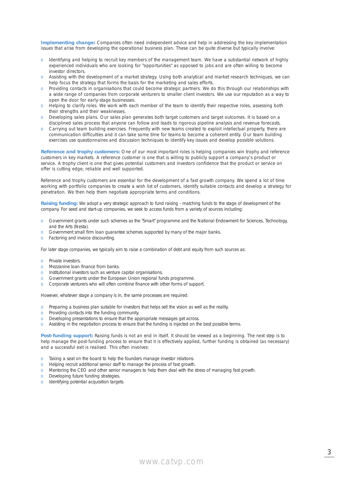**Implementing change:** Companies often need independent advice and help in addressing the key implementation issues that arise from developing the operational business plan. These can be quite diverse but typically involve:

- o Identifying and helping to recruit key members of the management team. We have a substantial network of highly experienced individuals who are looking for "opportunities" as opposed to jobs and are often willing to become investor directors.
- o Assisting with the development of a market strategy. Using both analytical and market research techniques, we can help focus the strategy that forms the basis for the marketing and sales efforts.
- o Providing contacts in organisations that could become strategic partners. We do this through our relationships with a wide range of companies from corporate venturers to smaller client investors. We use our reputation as a way to open the door for early-stage businesses.
- o Helping to clarify roles. We work with each member of the team to identify their respective roles, assessing both their strengths and their weaknesses.
- o Developing sales plans. Our sales plan generates both target customers and target outcomes. It is based on a disciplined sales process that anyone can follow and leads to rigorous pipeline analysis and revenue forecasts.
- o Carrying out team building exercises. Frequently with new teams created to exploit intellectual property, there are communication difficulties and it can take some time for teams to become a coherent entity. Our team building exercises use questionnaires and discussion techniques to identify key issues and develop possible solutions.

**Reference and trophy customers:** One of our most important roles is helping companies win trophy and reference customers in key markets. A reference customer is one that is willing to publicly support a company's product or service. A trophy client is one that gives potential customers and investors confidence that the product or service on offer is cutting edge, reliable and well supported.

Reference and trophy customers are essential for the development of a fast growth company. We spend a lot of time working with portfolio companies to create a wish list of customers, identify suitable contacts and develop a strategy for penetration. We then help them negotiate appropriate terms and conditions.

**Raising funding:** We adopt a very strategic approach to fund raising - matching funds to the stage of development of the company. For seed and start-up companies, we seek to access funds from a variety of sources including:

- o Government grants under such schemes as the "Smart" programme and the National Endowment for Sciences, Technology, and the Arts (Nesta).
- o Government small firm loan guarantee schemes supported by many of the major banks.
- o Factoring and invoice discounting.

For later stage companies, we typically aim to raise a combination of debt and equity from such sources as:

- o Private investors.
- o Mezzanine loan finance from banks.
- o Institutional investors such as venture capital organisations.
- o Government grants under the European Union regional funds programme.
- o Corporate venturers who will often combine finance with other forms of support.

However, whatever stage a company is in, the same processes are required:

- o Preparing a business plan suitable for investors that helps sell the vision as well as the reality.
- o Providing contacts into the funding community.
- o Developing presentations to ensure that the appropriate messages get across.
- o Assisting in the negotiation process to ensure that the funding is injected on the best possible terms.

**Post-funding support:** Raising funds is not an end in itself. It should be viewed as a beginning. The next step is to help manage the post-funding process to ensure that it is effectively applied, further funding is obtained (as necessary) and a successful exit is realised. This often involves:

- o Taking a seat on the board to help the founders manage investor relations.
- o Helping recruit additional senior staff to manage the process of fast growth.
- o Mentoring the CEO and other senior managers to help them deal with the stress of managing fast growth.
- o Developing future funding strategies.
- o Identifying potential acquisition targets.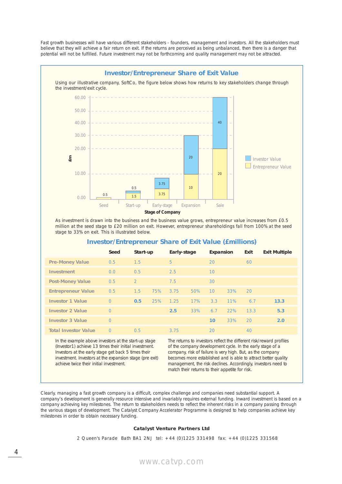Fast growth businesses will have various different stakeholders - founders, management and investors. All the stakeholders must believe that they will achieve a fair return on exit. If the returns are perceived as being unbalanced, then there is a danger that potential will not be fulfilled. Future investment may not be forthcoming and quality management may not be attracted.



As investment is drawn into the business and the business value grows, entrepreneur value increases from £0.5 million at the seed stage to £20 million on exit. However, entrepreneur shareholdings fall from 100% at the seed stage to 33% on exit. This is illustrated below.

|                             | Seed     | Start-up       |     | Early-stage |     | Expansion |     | Exit | <b>Exit Multiple</b> |
|-----------------------------|----------|----------------|-----|-------------|-----|-----------|-----|------|----------------------|
| <b>Pre-Money Value</b>      | 0.5      | 1.5            |     | 5           |     | 20        |     | 60   |                      |
| <b>Investment</b>           | 0.0      | 0.5            |     | 2.5         |     | 10        |     |      |                      |
| <b>Post-Money Value</b>     | 0.5      | $\overline{2}$ |     | 7.5         |     | 30        |     |      |                      |
| <b>Entrepreneur Value</b>   | 0.5      | 1.5            | 75% | 3.75        | 50% | 10        | 33% | 20   |                      |
| <b>Investor 1 Value</b>     | $\Omega$ | 0.5            | 25% | 1.25        | 17% | 3.3       | 11% | 6.7  | 13.3                 |
| <b>Investor 2 Value</b>     | $\Omega$ |                |     | 2.5         | 33% | 6.7       | 22% | 13.3 | 5.3                  |
| <b>Investor 3 Value</b>     | $\Omega$ |                |     |             |     | 10        | 33% | 20   | 2.0                  |
| <b>Total Investor Value</b> | $\Omega$ | 0.5            |     | 3.75        |     | 20        |     | 40   |                      |

### **Investor/Entrepreneur Share of Exit Value (£millions)**

In the example above investors at the start-up stage (Investor1) achieve 13 times their initial investment. Investors at the early stage get back 5 times their investment. Investors at the expansion stage (pre exit) achieve twice their initial investment.

The returns to investors reflect the different risk/reward profiles of the company development cycle. In the early stage of a company, risk of failure is very high. But, as the company becomes more established and is able to attract better quality management, the risk declines. Accordingly, investors need to match their returns to their appetite for risk.

Clearly, managing a fast growth company is a difficult, complex challenge and companies need substantial support. A company's development is generally resource intensive and invariably requires external funding. Inward investment is based on a company achieving key milestones. The return to stakeholders needs to reflect the inherent risks in a company passing through the various stages of development. The Catalyst Company Accelerator Programme is designed to help companies achieve key milestones in order to obtain necessary funding.

#### **Catalyst Venture Partners Ltd**

2 Queen's Parade Bath BA1 2NJ tel: +44 (0)1225 331498 fax: +44 (0)1225 331568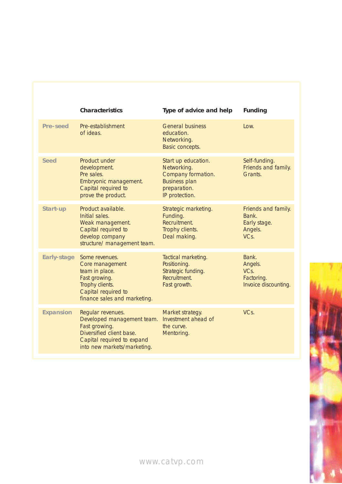|                    | <b>Characteristics</b>                                                                                                                                    | Type of advice and help                                                                                            | <b>Funding</b>                                                  |
|--------------------|-----------------------------------------------------------------------------------------------------------------------------------------------------------|--------------------------------------------------------------------------------------------------------------------|-----------------------------------------------------------------|
| Pre-seed           | Pre-establishment<br>of ideas.                                                                                                                            | <b>General business</b><br>education.<br>Networking.<br>Basic concepts.                                            | Low.                                                            |
| <b>Seed</b>        | Product under<br>development.<br>Pre sales.<br>Embryonic management.<br>Capital required to<br>prove the product.                                         | Start up education.<br>Networking.<br>Company formation.<br><b>Business plan</b><br>preparation.<br>IP protection. | Self-funding.<br>Friends and family.<br>Grants.                 |
| Start-up           | Product available.<br>Initial sales.<br>Weak management.<br>Capital required to<br>develop company<br>structure/ management team.                         | Strategic marketing.<br>Funding.<br>Recruitment.<br>Trophy clients.<br>Deal making.                                | Friends and family.<br>Bank.<br>Early stage.<br>Angels.<br>VCs. |
| <b>Early-stage</b> | Some revenues.<br>Core management<br>team in place.<br>Fast growing.<br>Trophy clients.<br>Capital required to<br>finance sales and marketing.            | Tactical marketing.<br>Positioning.<br>Strategic funding.<br>Recruitment.<br>Fast growth.                          | Bank.<br>Angels.<br>VCs.<br>Factoring.<br>Invoice discounting.  |
| <b>Expansion</b>   | Regular revenues.<br>Developed management team.<br>Fast growing.<br>Diversified client base.<br>Capital required to expand<br>into new markets/marketing. | Market strategy.<br>Investment ahead of<br>the curve.<br>Mentoring.                                                | VCs.                                                            |